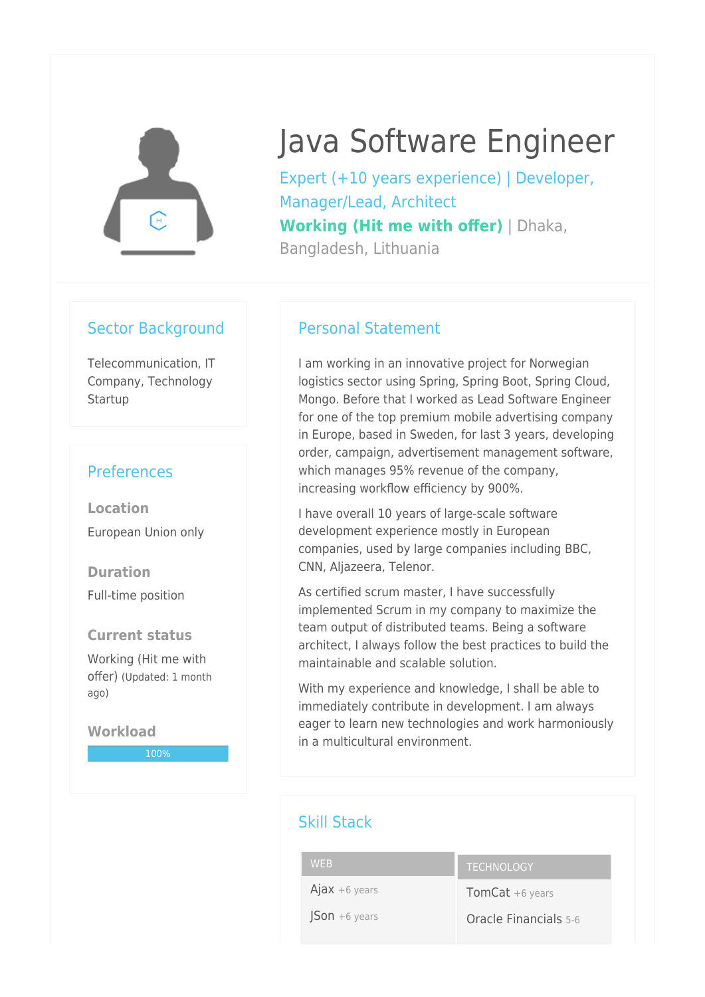

# Java Software Engineer

Expert (+10 years experience) | Developer, Manager/Lead, Architect **Working (Hit me with offer)** | Dhaka, Bangladesh, Lithuania

#### Sector Background

Telecommunication, IT Company, Technology **Startup** 

## **Preferences**

**Location** European Union only

**Duration** Full-time position

#### **Current status**

Working (Hit me with offer) (Updated: 1 month ago)

**Workload** 100%

### Personal Statement

I am working in an innovative project for Norwegian logistics sector using Spring, Spring Boot, Spring Cloud, Mongo. Before that I worked as Lead Software Engineer for one of the top premium mobile advertising company in Europe, based in Sweden, for last 3 years, developing order, campaign, advertisement management software, which manages 95% revenue of the company, increasing workflow efficiency by 900%.

I have overall 10 years of large-scale software development experience mostly in European companies, used by large companies including BBC, CNN, Aljazeera, Telenor.

As certified scrum master, I have successfully implemented Scrum in my company to maximize the team output of distributed teams. Being a software architect, I always follow the best practices to build the maintainable and scalable solution.

With my experience and knowledge, I shall be able to immediately contribute in development. I am always eager to learn new technologies and work harmoniously in a multicultural environment.

## Skill Stack

#### WEB  $A$ jax +6 years  $|Son +6$  years **TECHNOLOGY** TomCat +6 years Oracle Financials 5-6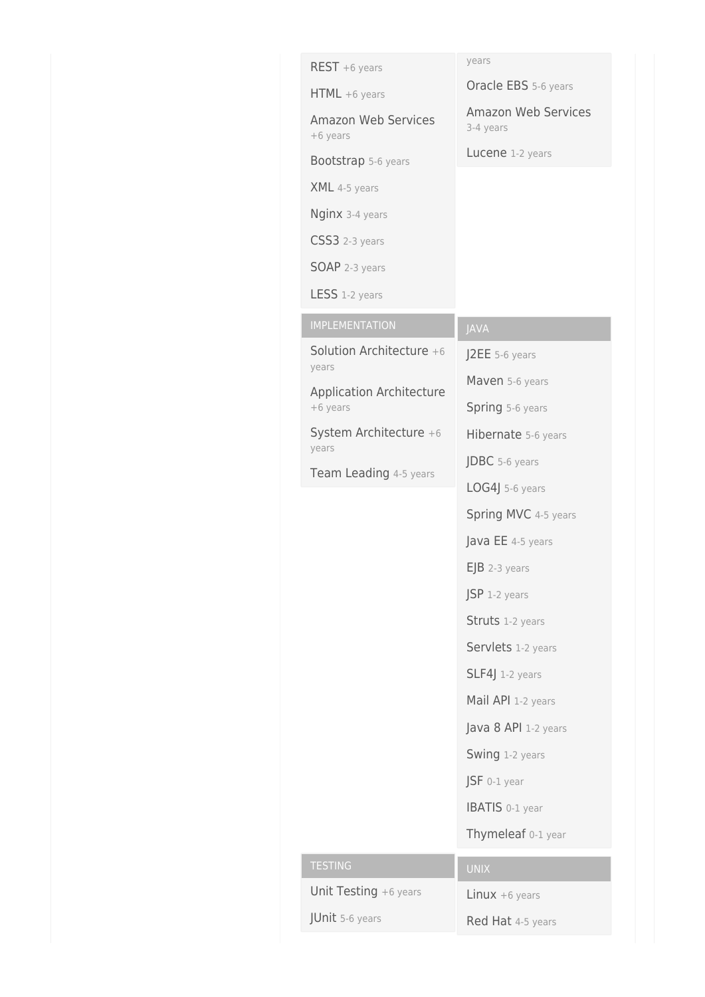| $REST + 6 years$                         | years                            |
|------------------------------------------|----------------------------------|
| $HTML + 6 years$                         | Oracle EBS 5-6 years             |
| <b>Amazon Web Services</b><br>+6 years   | Amazon Web Services<br>3-4 years |
| Bootstrap 5-6 years                      | Lucene 1-2 years                 |
| XML 4-5 years                            |                                  |
| Nginx 3-4 years                          |                                  |
| CSS3 2-3 years                           |                                  |
| <b>SOAP</b> 2-3 years                    |                                  |
| LESS 1-2 years                           |                                  |
| <b>IMPLEMENTATION</b>                    | <b>JAVA</b>                      |
| Solution Architecture +6                 | J2EE 5-6 years                   |
| years<br><b>Application Architecture</b> | Maven 5-6 years                  |
| +6 years                                 | Spring 5-6 years                 |
| System Architecture +6<br>years          | Hibernate 5-6 years              |
| Team Leading 4-5 years                   | JDBC 5-6 years                   |
|                                          | LOG4J 5-6 years                  |
|                                          | Spring MVC 4-5 years             |
|                                          | Java EE 4-5 years                |
|                                          | $EJB$ 2-3 years                  |
|                                          | $JSP$ 1-2 years                  |
|                                          | Struts 1-2 years                 |
|                                          | Servlets 1-2 years               |
|                                          | SLF4J 1-2 years                  |
|                                          | Mail API 1-2 years               |
|                                          | Java 8 API 1-2 years             |
|                                          | Swing 1-2 years                  |
|                                          | $JSF$ 0-1 year                   |
|                                          | <b>IBATIS</b> 0-1 year           |
|                                          | Thymeleaf 0-1 year               |
| <b>TESTING</b>                           | <b>UNIX</b>                      |
| Unit Testing +6 years                    | $Linux + 6 years$                |
| JUnit 5-6 years                          | Red Hat 4-5 years                |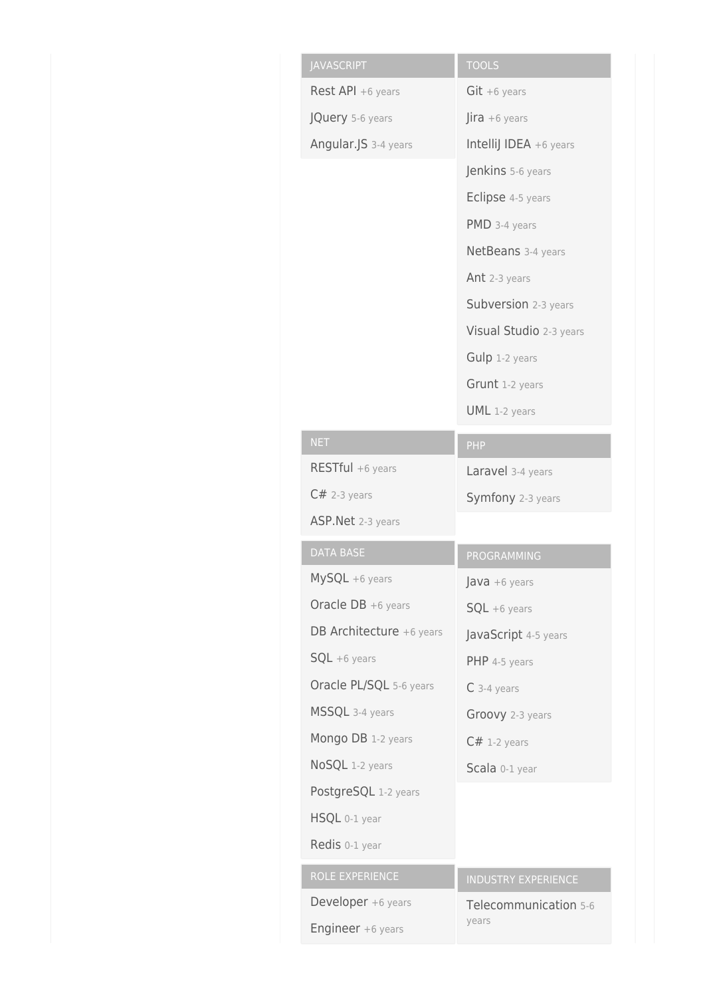| <b>JAVASCRIPT</b>        | <b>TOOLS</b>                      |
|--------------------------|-----------------------------------|
| Rest API +6 years        | $Git + 6 years$                   |
| JQuery 5-6 years         | $\int$ <b>ira</b> +6 years        |
| Angular.JS 3-4 years     | Intellij IDEA +6 years            |
|                          | Jenkins 5-6 years                 |
|                          | Eclipse 4-5 years                 |
|                          | PMD 3-4 years                     |
|                          | NetBeans 3-4 years                |
|                          | Ant 2-3 years                     |
|                          | Subversion 2-3 years              |
|                          | Visual Studio 2-3 years           |
|                          | Gulp 1-2 years                    |
|                          | Grunt 1-2 years                   |
|                          | UML 1-2 years                     |
| <b>NET</b>               | PHP                               |
| RESTful +6 years         | Laravel 3-4 years                 |
| $C#$ 2-3 years           | Symfony 2-3 years                 |
| ASP. Net 2-3 years       |                                   |
| <b>DATA BASE</b>         | PROGRAMMING                       |
|                          |                                   |
| MySQL +6 years           | $\textsf{Java} + 6 \text{ years}$ |
| Oracle DB +6 years       | $SQL + 6 \text{ years}$           |
| DB Architecture +6 years | JavaScript 4-5 years              |
| $SQL + 6 \text{ years}$  | PHP 4-5 years                     |
| Oracle PL/SQL 5-6 years  | $C$ 3-4 years                     |
| MSSQL 3-4 years          | Groovy 2-3 years                  |
| Mongo DB 1-2 years       | $C#$ 1-2 years                    |
| NoSQL 1-2 years          | Scala 0-1 year                    |
| PostgreSQL 1-2 years     |                                   |
| HSQL 0-1 year            |                                   |
| Redis 0-1 year           |                                   |
| ROLE EXPERIENCE          | <b>INDUSTRY EXPERIENCE</b>        |
| Developer +6 years       | Telecommunication 5-6             |